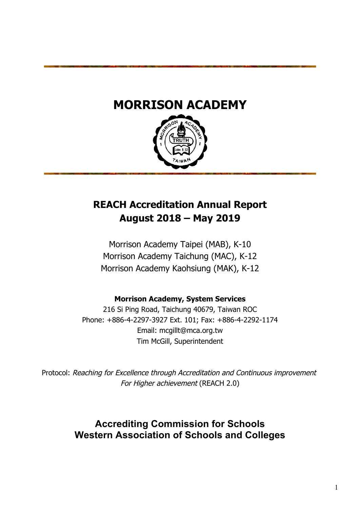# **MORRISON ACADEMY**



# **REACH Accreditation Annual Report August 2018 – May 2019**

Morrison Academy Taipei (MAB), K-10 Morrison Academy Taichung (MAC), K-12 Morrison Academy Kaohsiung (MAK), K-12

**Morrison Academy, System Services**

216 Si Ping Road, Taichung 40679, Taiwan ROC Phone: +886-4-2297-3927 Ext. 101; Fax: +886-4-2292-1174 Email: mcgillt@mca.org.tw Tim McGill, Superintendent

Protocol: Reaching for Excellence through Accreditation and Continuous improvement For Higher achievement (REACH 2.0)

> **Accrediting Commission for Schools Western Association of Schools and Colleges**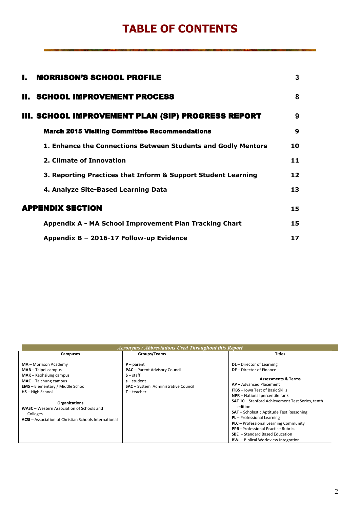# **TABLE OF CONTENTS**

| <b>MORRISON'S SCHOOL PROFILE</b><br>L.                        | 3  |  |
|---------------------------------------------------------------|----|--|
| <b>II. SCHOOL IMPROVEMENT PROCESS</b>                         | 8  |  |
| III. SCHOOL IMPROVEMENT PLAN (SIP) PROGRESS REPORT            | 9  |  |
| <b>March 2015 Visiting Committee Recommendations</b>          | 9  |  |
| 1. Enhance the Connections Between Students and Godly Mentors | 10 |  |
| 2. Climate of Innovation                                      | 11 |  |
| 3. Reporting Practices that Inform & Support Student Learning | 12 |  |
| 4. Analyze Site-Based Learning Data                           | 13 |  |
| <b>APPENDIX SECTION</b>                                       | 15 |  |
| Appendix A - MA School Improvement Plan Tracking Chart        | 15 |  |
| Appendix B - 2016-17 Follow-up Evidence                       | 17 |  |

|                                                                                                                                                                                                                                                                                                                                        | Acronyms / Abbreviations Used Throughout this Report                                                                                                       |                                                                                                                                                                                                                                                                                                                                                                                                                                                                                                                                                        |
|----------------------------------------------------------------------------------------------------------------------------------------------------------------------------------------------------------------------------------------------------------------------------------------------------------------------------------------|------------------------------------------------------------------------------------------------------------------------------------------------------------|--------------------------------------------------------------------------------------------------------------------------------------------------------------------------------------------------------------------------------------------------------------------------------------------------------------------------------------------------------------------------------------------------------------------------------------------------------------------------------------------------------------------------------------------------------|
| <b>Campuses</b>                                                                                                                                                                                                                                                                                                                        | Groups/Teams                                                                                                                                               | <b>Titles</b>                                                                                                                                                                                                                                                                                                                                                                                                                                                                                                                                          |
| MA - Morrison Academy<br><b>MAB</b> - Taipei campus<br><b>MAK</b> – Kaohsiung campus<br>$MAC - Taichung$ campus<br><b>EMS</b> - Elementary / Middle School<br><b>HS</b> - High School<br><b>Organizations</b><br>WASC - Western Association of Schools and<br>Colleges<br><b>ACSI</b> – Association of Christian Schools International | $P$ – parent<br><b>PAC</b> - Parent Advisory Council<br>$S - \text{staff}$<br>$s$ – student<br><b>SAC</b> - System Administrative Council<br>$T$ – teacher | <b>DL</b> - Director of Learning<br><b>DF</b> - Director of Finance<br><b>Assessments &amp; Terms</b><br>AP-Advanced Placement<br><b>ITBS</b> - Iowa Test of Basic Skills<br>NPR - National percentile rank<br><b>SAT 10 - Stanford Achievement Test Series, tenth</b><br>edition<br><b>SAT</b> – Scholastic Aptitude Test Reasoning<br>PL - Professional Learning<br><b>PLC</b> - Professional Learning Community<br><b>PPR</b> - Professional Practice Rubrics<br><b>SBE</b> - Standard Based Education<br><b>BWI-Biblical Worldview Integration</b> |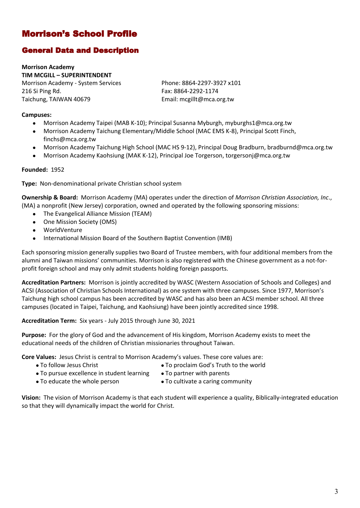## Morrison's School Profile

## General Data and Description

**Morrison Academy TIM MCGILL – SUPERINTENDENT** Morrison Academy - System Services

216 Si Ping Rd. Taichung, TAIWAN 40679 Phone: 8864-2297-3927 x101 Fax: 8864-2292-1174 Email: mcgillt@mca.org.tw

#### **Campuses:**

- Morrison Academy Taipei (MAB K-10); Principal Susanna Myburgh, myburghs1@mca.org.tw
- Morrison Academy Taichung Elementary/Middle School (MAC EMS K-8), Principal Scott Finch, finchs@mca.org.tw
- Morrison Academy Taichung High School (MAC HS 9-12), Principal Doug Bradburn, bradburnd@mca.org.tw
- Morrison Academy Kaohsiung (MAK K-12), Principal Joe Torgerson, torgersonj@mca.org.tw

#### **Founded:** 1952

**Type:** Non-denominational private Christian school system

**Ownership & Board:** Morrison Academy (MA) operates under the direction of *Morrison Christian Association, Inc.*, (MA) a nonprofit (New Jersey) corporation, owned and operated by the following sponsoring missions:

- The Evangelical Alliance Mission (TEAM)
- One Mission Society (OMS)
- WorldVenture
- International Mission Board of the Southern Baptist Convention (IMB)

Each sponsoring mission generally supplies two Board of Trustee members, with four additional members from the alumni and Taiwan missions' communities. Morrison is also registered with the Chinese government as a not-forprofit foreign school and may only admit students holding foreign passports.

**Accreditation Partners:** Morrison is jointly accredited by WASC (Western Association of Schools and Colleges) and ACSI (Association of Christian Schools International) as one system with three campuses. Since 1977, Morrison's Taichung high school campus has been accredited by WASC and has also been an ACSI member school. All three campuses (located in Taipei, Taichung, and Kaohsiung) have been jointly accredited since 1998.

**Accreditation Term:** Six years - July 2015 through June 30, 2021

**Purpose:** For the glory of God and the advancement of His kingdom, Morrison Academy exists to meet the educational needs of the children of Christian missionaries throughout Taiwan.

**Core Values:** Jesus Christ is central to Morrison Academy's values. These core values are:

- To follow Jesus Christ **The Christ To proclaim God's Truth to the world** 
	-
- To pursue excellence in student learning To partner with parents
- To educate the whole person **The Contract of To cultivate a caring community**

**Vision:** The vision of Morrison Academy is that each student will experience a quality, Biblically-integrated education so that they will dynamically impact the world for Christ.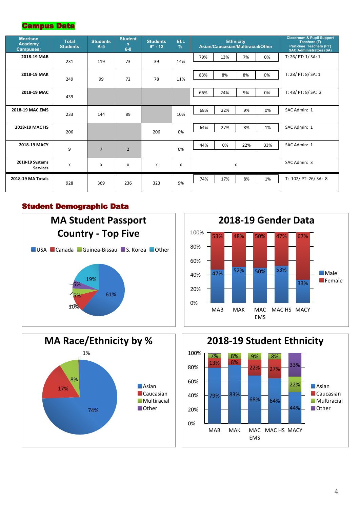## Campus Data

| <b>Morrison</b><br>Academy<br><b>Campuses:</b> | <b>Total</b><br><b>Students</b> | <b>Students</b><br>$K-5$ | <b>Student</b><br>s.<br>$6 - 8$ | <b>Students</b><br>$9th - 12$ | <b>ELL</b><br>$\frac{9}{6}$ |     |     | <b>Ethnicity</b><br>Asian/Caucasian/Multiracial/Other |              | <b>Classroom &amp; Pupil Support</b><br>Teachers (T)<br>Part-time Teachers (PT)<br><b>SAC Administrators (SA)</b> |
|------------------------------------------------|---------------------------------|--------------------------|---------------------------------|-------------------------------|-----------------------------|-----|-----|-------------------------------------------------------|--------------|-------------------------------------------------------------------------------------------------------------------|
| 2018-19 MAB                                    | 231                             | 119                      | 73                              | 39                            | 14%                         | 79% | 13% | 7%                                                    | 0%           | T: $26/$ PT: $1/$ SA: $1$                                                                                         |
| 2018-19 MAK                                    | 249                             | 99                       | 72                              | 78                            | 11%                         | 83% | 8%  | 8%                                                    | 0%           | T: 28/ PT: 8/ SA: 1                                                                                               |
| 2018-19 MAC                                    | 439                             |                          |                                 |                               |                             | 66% | 24% | 9%                                                    | 0%           | T: 48/ PT: 8/ SA: 2                                                                                               |
| 2018-19 MAC EMS                                | 233                             | 144                      | 89                              |                               | 10%                         | 68% | 22% | 9%                                                    | 0%           | SAC Admin: 1                                                                                                      |
| 2018-19 MAC HS                                 | 206                             |                          |                                 | 206                           | 0%                          | 64% | 27% | 8%                                                    | 1%           | SAC Admin: 1                                                                                                      |
| 2018-19 MACY                                   | 9                               | $\overline{7}$           | $\overline{2}$                  |                               | 0%                          | 44% | 0%  | 22%                                                   | 33%          | SAC Admin: 1                                                                                                      |
| 2018-19 Systems<br><b>Services</b>             | X                               | X                        | X                               | X                             | $\times$                    |     | X   |                                                       | SAC Admin: 3 |                                                                                                                   |
| 2018-19 MA Totals                              | 928                             | 369                      | 236                             | 323                           | 9%                          | 74% | 17% | 8%                                                    | 1%           | T: 102/ PT: 26/ SA: 8                                                                                             |

### Student Demographic Data





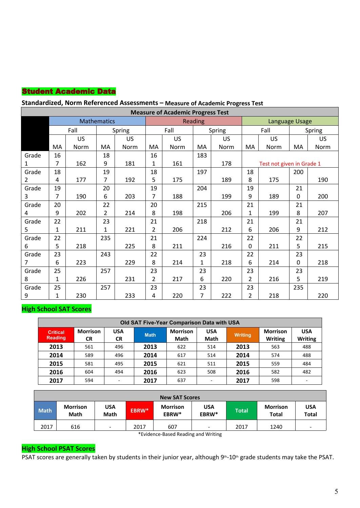## Student Academic Data

### **Standardized, Norm Referenced Assessments – Measure of Academic Progress Test**

|                 | <b>Measure of Academic Progress Test</b> |           |                    |           |                |           |                |        |                |                           |             |           |  |  |
|-----------------|------------------------------------------|-----------|--------------------|-----------|----------------|-----------|----------------|--------|----------------|---------------------------|-------------|-----------|--|--|
|                 |                                          |           | <b>Mathematics</b> |           |                |           | <b>Reading</b> |        |                | Language Usage            |             |           |  |  |
|                 |                                          | Fall      |                    | Spring    |                | Fall      |                | Spring |                | Fall                      |             | Spring    |  |  |
|                 |                                          | <b>US</b> |                    | <b>US</b> |                | <b>US</b> |                | US     |                | <b>US</b>                 |             | <b>US</b> |  |  |
|                 | MA                                       | Norm      | MA                 | Norm      | MA             | Norm      | MA             | Norm   | MA             | Norm                      | MA          | Norm      |  |  |
| Grade           | 16                                       |           | 18                 |           | 16             |           | 183            |        |                |                           |             |           |  |  |
| $\mathbf{1}$    | $\overline{7}$                           | 162       | 9                  | 181       | 1              | 161       |                | 178    |                | Test not given in Grade 1 |             |           |  |  |
| Grade           | 18                                       |           | 19                 |           | 18             |           | 197            |        | 18             |                           | 200         |           |  |  |
| $2^{\circ}$     | 4                                        | 177       | 7                  | 192       | 5              | 175       |                | 189    | 8              | 175                       |             | 190       |  |  |
| Grade           | 19                                       |           | 20                 |           | 19             |           | 204            |        | 19             |                           | 21          |           |  |  |
| 3               | $\overline{7}$                           | 190       | 6                  | 203       | $\overline{7}$ | 188       |                | 199    | 9              | 189                       | $\mathbf 0$ | 200       |  |  |
| Grade           | 20                                       |           | 22                 |           | 20             |           | 215            |        | 21             |                           | 21          |           |  |  |
| $\overline{4}$  | 9                                        | 202       | $\overline{2}$     | 214       | 8              | 198       |                | 206    | $\mathbf{1}$   | 199                       | 8           | 207       |  |  |
| Grade           | 22                                       |           | 23                 |           | 21             |           | 218            |        | 21             |                           | 21          |           |  |  |
| 5               | $\mathbf{1}$                             | 211       | 1                  | 221       | $\overline{2}$ | 206       |                | 212    | 6              | 206                       | 9           | 212       |  |  |
| Grade           | 22                                       |           | 235                |           | 21             |           | 224            |        | 22             |                           | 22          |           |  |  |
| 6               | 5                                        | 218       |                    | 225       | 8              | 211       |                | 216    | 0              | 211                       | 5           | 215       |  |  |
| Grade           | 23                                       |           | 243                |           | 22             |           | 23             |        | 22             |                           | 23          |           |  |  |
| $7\overline{ }$ | 6                                        | 223       |                    | 229       | 8              | 214       | $\mathbf{1}$   | 218    | 6              | 214                       | $\mathbf 0$ | 218       |  |  |
| Grade           | 25                                       |           | 257                |           | 23             |           | 23             |        | 23             |                           | 23          |           |  |  |
| 8               | $\mathbf{1}$                             | 226       |                    | 231       | $\overline{2}$ | 217       | 6              | 220    | $\mathbf{2}$   | 216                       | 5           | 219       |  |  |
| Grade           | 25                                       |           | 257                |           | 23             |           | 23             |        | 23             |                           | 235         |           |  |  |
| 9               | 1                                        | 230       |                    | 233       | 4              | 220       | $\overline{7}$ | 222    | $\overline{2}$ | 218                       |             | 220       |  |  |

#### **High School SAT Scores**

| <b>Old SAT Five-Year Comparison Data with USA</b> |                              |                         |             |                                |                          |                |                                   |                              |  |  |  |  |
|---------------------------------------------------|------------------------------|-------------------------|-------------|--------------------------------|--------------------------|----------------|-----------------------------------|------------------------------|--|--|--|--|
| <b>Critical</b><br><b>Reading</b>                 | <b>Morrison</b><br><b>CR</b> | <b>USA</b><br><b>CR</b> | <b>Math</b> | <b>Morrison</b><br><b>Math</b> | <b>USA</b><br>Math       | <b>Writing</b> | <b>Morrison</b><br><b>Writing</b> | <b>USA</b><br><b>Writing</b> |  |  |  |  |
| 2013                                              | 561                          | 496                     | 2013        | 622                            | 514                      | 2013           | 563                               | 488                          |  |  |  |  |
| 2014                                              | 589                          | 496                     | 2014        | 617                            | 514                      | 2014           | 574                               | 488                          |  |  |  |  |
| 2015                                              | 581                          | 495                     | 2015        | 621                            | 511                      | 2015           | 559                               | 484                          |  |  |  |  |
| 2016                                              | 604                          | 494                     | 2016        | 623                            | 508                      | 2016           | 582                               | 482                          |  |  |  |  |
| 2017                                              | 594                          | -                       | 2017        | 637                            | $\overline{\phantom{a}}$ | 2017           | 598                               | ٠                            |  |  |  |  |

| <b>New SAT Scores</b> |                                |                           |       |                          |                          |              |                                 |                            |  |
|-----------------------|--------------------------------|---------------------------|-------|--------------------------|--------------------------|--------------|---------------------------------|----------------------------|--|
| <b>Math</b>           | <b>Morrison</b><br><b>Math</b> | <b>USA</b><br><b>Math</b> | EBRW* | <b>Morrison</b><br>EBRW* | <b>USA</b><br>EBRW*      | <b>Total</b> | <b>Morrison</b><br><b>Total</b> | <b>USA</b><br><b>Total</b> |  |
| 2017                  | 616                            | $\overline{\phantom{0}}$  | 2017  | 607                      | $\overline{\phantom{a}}$ | 2017         | 1240                            | $\overline{\phantom{a}}$   |  |

\*Evidence-Based Reading and Writing

## **High School PSAT Scores**

PSAT scores are generally taken by students in their junior year, although 9<sup>th</sup>-10<sup>th</sup> grade students may take the PSAT.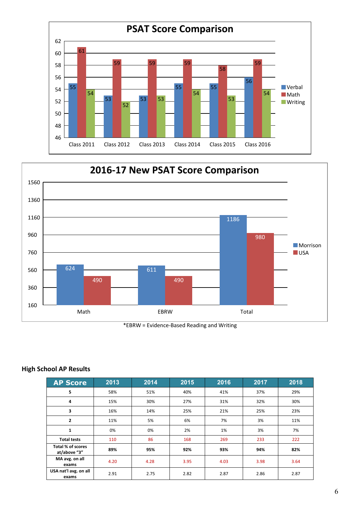



\*EBRW = Evidence-Based Reading and Writing

#### **High School AP Results**

| <b>AP Score</b>                   | 2013 | 2014 | 2015 | 2016 | 2017 | 2018 |
|-----------------------------------|------|------|------|------|------|------|
| 5                                 | 58%  | 51%  | 40%  | 41%  | 37%  | 29%  |
| 4                                 | 15%  | 30%  | 27%  | 31%  | 32%  | 30%  |
| 3                                 | 16%  | 14%  | 25%  | 21%  | 25%  | 23%  |
| $\overline{2}$                    | 11%  | 5%   | 6%   | 7%   | 3%   | 11%  |
| $\mathbf{1}$                      | 0%   | 0%   | 2%   | 1%   | 3%   | 7%   |
| <b>Total tests</b>                | 110  | 86   | 168  | 269  | 233  | 222  |
| Total % of scores<br>at/above "3" | 89%  | 95%  | 92%  | 93%  | 94%  | 82%  |
| MA avg. on all<br>exams           | 4.20 | 4.28 | 3.95 | 4.03 | 3.98 | 3.64 |
| USA nat'l avg. on all<br>exams    | 2.91 | 2.75 | 2.82 | 2.87 | 2.86 | 2.87 |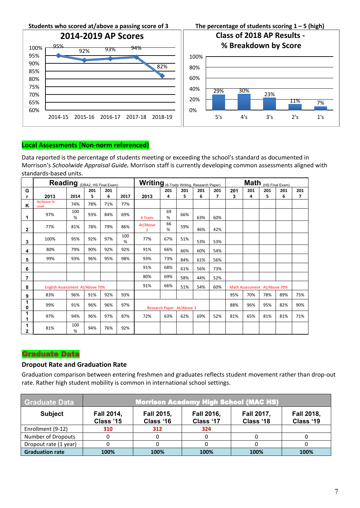

#### **Local Assessments (Non-norm referenced)**

Data reported is the percentage of students meeting or exceeding the school's standard as documented in Morrison's *Schoolwide Appraisal Guide.* Morrison staff is currently developing common assessments aligned with standards-based units.

|                   | Reading (DRA2, HS Final Exam)   |          |     |     |          | Writing (6-Traits Writing, Research Paper) |                           |     |     |                         |     |     | $\text{Math}_{(HS\text{-Final Exam})}$ |     |                |
|-------------------|---------------------------------|----------|-----|-----|----------|--------------------------------------------|---------------------------|-----|-----|-------------------------|-----|-----|----------------------------------------|-----|----------------|
| G                 |                                 |          | 201 | 201 |          |                                            | 201                       | 201 | 201 | 201                     | 201 | 201 | 201                                    | 201 | 201            |
|                   | 2013                            | 2014     | 5   | 6   | 2017     | 2013                                       | 4                         | 5   | 6   | $\overline{\mathbf{z}}$ | 3   | 4   | 5                                      | 6   | $\overline{7}$ |
| Κ                 | At/Above Gr<br>Level            | 74%      | 78% | 71% | 77%      |                                            |                           |     |     |                         |     |     |                                        |     |                |
|                   | 97%                             | 100<br>% | 93% | 84% | 69%      | 6 Traits                                   | 69<br>%                   | 66% | 63% | 60%                     |     |     |                                        |     |                |
| $\mathbf{2}$      | 77%                             | 81%      | 78% | 79% | 86%      | At/Above<br>$\overline{3}$                 | 66<br>%                   | 59% | 46% | 42%                     |     |     |                                        |     |                |
| 3                 | 100%                            | 95%      | 92% | 97% | 100<br>% | 77%                                        | 67%                       | 51% | 53% | 53%                     |     |     |                                        |     |                |
| 4                 | 80%                             | 79%      | 90% | 92% | 92%      | 91%                                        | 66%                       | 66% | 60% | 54%                     |     |     |                                        |     |                |
| 5                 | 99%                             | 93%      | 96% | 95% | 98%      | 93%                                        | 73%                       | 84% | 61% | 56%                     |     |     |                                        |     |                |
| 6                 |                                 |          |     |     |          | 91%                                        | 68%                       | 61% | 56% | 73%                     |     |     |                                        |     |                |
| 7                 |                                 |          |     |     |          | 80%                                        | 69%                       | 58% | 44% | 52%                     |     |     |                                        |     |                |
| 8                 | English Assessment At/Above 70% |          |     |     |          | 91%                                        | 66%                       | 51% | 54% | 60%                     |     |     | Math Assessment At/Above 70%           |     |                |
| 9                 | 83%                             | 96%      | 91% | 92% | 93%      |                                            |                           |     |     |                         | 95% | 70% | 78%                                    | 89% | 75%            |
| 1<br>0            | 99%                             | 91%      | 96% | 96% | 97%      |                                            | Research Paper At/Above 3 |     |     |                         | 88% | 96% | 95%                                    | 82% | 90%            |
| 1                 | 97%                             | 94%      | 96% | 97% | 87%      | 72%                                        | 63%                       | 62% | 69% | 52%                     | 81% | 65% | 81%                                    | 81% | 71%            |
| 1<br>$\mathbf{2}$ | 81%                             | 100<br>% | 94% | 76% | 92%      |                                            |                           |     |     |                         |     |     |                                        |     |                |

#### Graduate Data

#### **Dropout Rate and Graduation Rate**

Graduation comparison between entering freshmen and graduates reflects student movement rather than drop-out rate. Rather high student mobility is common in international school settings.

| Graduate Data          |                                | Morrison Academy High School (MAC HS) |                                |                         |                                |  |  |  |  |  |
|------------------------|--------------------------------|---------------------------------------|--------------------------------|-------------------------|--------------------------------|--|--|--|--|--|
| <b>Subject</b>         | <b>Fall 2014,</b><br>Class '15 | <b>Fall 2015,</b><br>Class '16        | <b>Fall 2016,</b><br>Class '17 | Fall 2017,<br>Class '18 | <b>Fall 2018,</b><br>Class '19 |  |  |  |  |  |
| Enrollment (9-12)      | 310                            | 312                                   | 324                            |                         |                                |  |  |  |  |  |
| Number of Dropouts     |                                |                                       |                                |                         |                                |  |  |  |  |  |
| Dropout rate (1 year)  |                                |                                       |                                |                         |                                |  |  |  |  |  |
| <b>Graduation rate</b> | 100%                           | 100%                                  | 100%                           | 100%                    | 100%                           |  |  |  |  |  |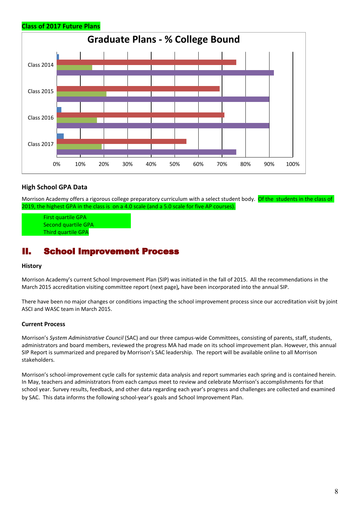



#### **High School GPA Data**

Morrison Academy offers a rigorous college preparatory curriculum with a select student body. Of the students in the class of 2019, the highest GPA in the class is on a 4.0 scale (and a 5.0 scale for five AP courses).

First quartile GPA Second quartile GPA Third quartile GPA

## II. School Improvement Process

#### **History**

Morrison Academy's current School Improvement Plan (SIP) was initiated in the fall of 2015. All the recommendations in the March 2015 accreditation visiting committee report (next page)*,* have been incorporated into the annual SIP.

There have been no major changes or conditions impacting the school improvement process since our accreditation visit by joint ASCI and WASC team in March 2015.

#### **Current Process**

Morrison's *System Administrative Council* (SAC) and our three campus-wide Committees, consisting of parents, staff, students, administrators and board members, reviewed the progress MA had made on its school improvement plan. However, this annual SIP Report is summarized and prepared by Morrison's SAC leadership. The report will be available online to all Morrison stakeholders.

Morrison's school-improvement cycle calls for systemic data analysis and report summaries each spring and is contained herein. In May, teachers and administrators from each campus meet to review and celebrate Morrison's accomplishments for that school year. Survey results, feedback, and other data regarding each year's progress and challenges are collected and examined by SAC. This data informs the following school-year's goals and School Improvement Plan.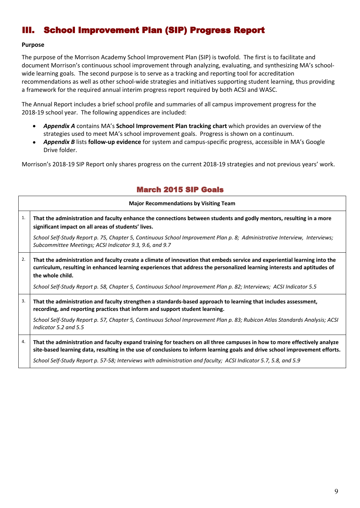## III. School Improvement Plan (SIP) Progress Report

#### **Purpose**

The purpose of the Morrison Academy School Improvement Plan (SIP) is twofold. The first is to facilitate and document Morrison's continuous school improvement through analyzing, evaluating, and synthesizing MA's schoolwide learning goals. The second purpose is to serve as a tracking and reporting tool for accreditation recommendations as well as other school-wide strategies and initiatives supporting student learning, thus providing a framework for the required annual interim progress report required by both ACSI and WASC.

The Annual Report includes a brief school profile and summaries of all campus improvement progress for the 2018-19 school year. The following appendices are included:

- *Appendix A* contains MA's **School Improvement Plan tracking chart** which provides an overview of the strategies used to meet MA's school improvement goals. Progress is shown on a continuum.
- *Appendix B* lists **follow-up evidence** for system and campus-specific progress, accessible in MA's Google Drive folder.

Morrison's 2018-19 SIP Report only shares progress on the current 2018-19 strategies and not previous years' work.

### March 2015 SIP Goals

|    | <b>Major Recommendations by Visiting Team</b>                                                                                                                                                                                                                             |
|----|---------------------------------------------------------------------------------------------------------------------------------------------------------------------------------------------------------------------------------------------------------------------------|
| 1. | That the administration and faculty enhance the connections between students and godly mentors, resulting in a more<br>significant impact on all areas of students' lives.                                                                                                |
|    | School Self-Study Report p. 75, Chapter 5, Continuous School Improvement Plan p. 8; Administrative Interview, Interviews;<br>Subcommittee Meetings; ACSI Indicator 9.3, 9.6, and 9.7                                                                                      |
| 2. | That the administration and faculty create a climate of innovation that embeds service and experiential learning into the<br>curriculum, resulting in enhanced learning experiences that address the personalized learning interests and aptitudes of<br>the whole child. |
|    | School Self-Study Report p. 58, Chapter 5, Continuous School Improvement Plan p. 82; Interviews; ACSI Indicator 5.5                                                                                                                                                       |
| 3. | That the administration and faculty strengthen a standards-based approach to learning that includes assessment,<br>recording, and reporting practices that inform and support student learning.                                                                           |
|    | School Self-Study Report p. 57, Chapter 5, Continuous School Improvement Plan p. 83; Rubicon Atlas Standards Analysis; ACSI<br>Indicator 5.2 and 5.5                                                                                                                      |
| 4. | That the administration and faculty expand training for teachers on all three campuses in how to more effectively analyze<br>site-based learning data, resulting in the use of conclusions to inform learning goals and drive school improvement efforts.                 |
|    | School Self-Study Report p. 57-58; Interviews with administration and faculty; ACSI Indicator 5.7, 5.8, and 5.9                                                                                                                                                           |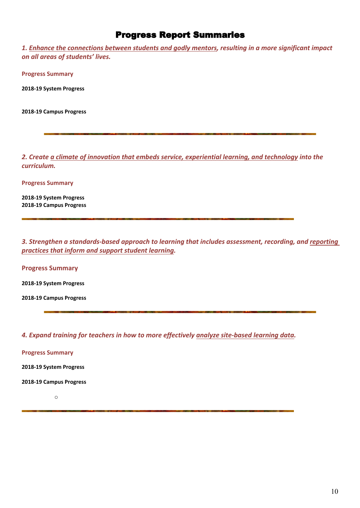## Progress Report Summaries

*1. Enhance the connections between students and godly mentors, resulting in a more significant impact on all areas of students' lives.*

**Progress Summary**

**2018-19 System Progress** 

**2018-19 Campus Progress** 

*2. Create a climate of innovation that embeds service, experiential learning, and technology into the curriculum.* 

**Progress Summary**

**2018-19 System Progress 2018-19 Campus Progress** 

*3. Strengthen a standards-based approach to learning that includes assessment, recording, and reporting practices that inform and support student learning.* 

**Progress Summary** 

**2018-19 System Progress**

**2018-19 Campus Progress** 

*4. Expand training for teachers in how to more effectively analyze site-based learning data.*

**Progress Summary**

**2018-19 System Progress** 

**2018-19 Campus Progress** 

o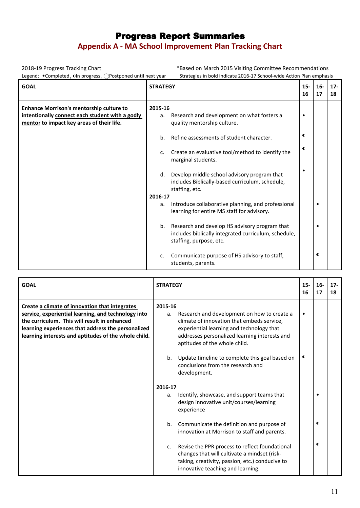## Progress Report Summaries **Appendix A - MA School Improvement Plan Tracking Chart**

2018-19 Progress Tracking Chart <sup>\*</sup>Based on March 2015 Visiting Committee Recommendations<br>Legend: •Completed. ©In progress. ○Postponed until next vear Strategies in bold indicate 2016-17 School-wide Action Plan emphasi Strategies in bold indicate 2016-17 School-wide Action Plan emphasis

| <b>GOAL</b>                                                                                                                                     | <b>STRATEGY</b>                                                                                                                        | $15-$<br>16 | $16-$<br>17 | $17 -$<br>18 |
|-------------------------------------------------------------------------------------------------------------------------------------------------|----------------------------------------------------------------------------------------------------------------------------------------|-------------|-------------|--------------|
| <b>Enhance Morrison's mentorship culture to</b><br>intentionally connect each student with a godly<br>mentor to impact key areas of their life. | 2015-16<br>Research and development on what fosters a<br>a.<br>quality mentorship culture.                                             | $\bullet$   |             |              |
|                                                                                                                                                 | Refine assessments of student character.<br>b.                                                                                         | $\bullet$   |             |              |
|                                                                                                                                                 | Create an evaluative tool/method to identify the<br>c.<br>marginal students.                                                           | $\bullet$   |             |              |
|                                                                                                                                                 | Develop middle school advisory program that<br>d.<br>includes Biblically-based curriculum, schedule,<br>staffing, etc.                 |             |             |              |
|                                                                                                                                                 | 2016-17                                                                                                                                |             |             |              |
|                                                                                                                                                 | Introduce collaborative planning, and professional<br>а.<br>learning for entire MS staff for advisory.                                 |             | ٠           |              |
|                                                                                                                                                 | Research and develop HS advisory program that<br>b.<br>includes biblically integrated curriculum, schedule,<br>staffing, purpose, etc. |             | ٠           |              |
|                                                                                                                                                 | Communicate purpose of HS advisory to staff,<br>c.<br>students, parents.                                                               |             | $\bullet$   |              |

| <b>GOAL</b>                                                                                                                                                                                                                                                         | <b>STRATEGY</b>                                                                                                                                                                                                                           | $15 -$<br>16 | $16-$<br>17 | $17 -$<br>18 |  |
|---------------------------------------------------------------------------------------------------------------------------------------------------------------------------------------------------------------------------------------------------------------------|-------------------------------------------------------------------------------------------------------------------------------------------------------------------------------------------------------------------------------------------|--------------|-------------|--------------|--|
| Create a climate of innovation that integrates<br>service, experiential learning, and technology into<br>the curriculum. This will result in enhanced<br>learning experiences that address the personalized<br>learning interests and aptitudes of the whole child. | 2015-16<br>Research and development on how to create a<br>a.<br>climate of innovation that embeds service,<br>experiential learning and technology that<br>addresses personalized learning interests and<br>aptitudes of the whole child. |              |             |              |  |
|                                                                                                                                                                                                                                                                     | Update timeline to complete this goal based on<br>b.<br>conclusions from the research and<br>development.                                                                                                                                 | $\bullet$    |             |              |  |
|                                                                                                                                                                                                                                                                     | 2016-17<br>Identify, showcase, and support teams that<br>а.<br>design innovative unit/courses/learning<br>experience                                                                                                                      |              |             |              |  |
|                                                                                                                                                                                                                                                                     | Communicate the definition and purpose of<br>b.<br>innovation at Morrison to staff and parents.                                                                                                                                           |              | $\bullet$   |              |  |
|                                                                                                                                                                                                                                                                     | Revise the PPR process to reflect foundational<br>$c_{\cdot}$<br>changes that will cultivate a mindset (risk-<br>taking, creativity, passion, etc.) conducive to<br>innovative teaching and learning.                                     |              | $\bullet$   |              |  |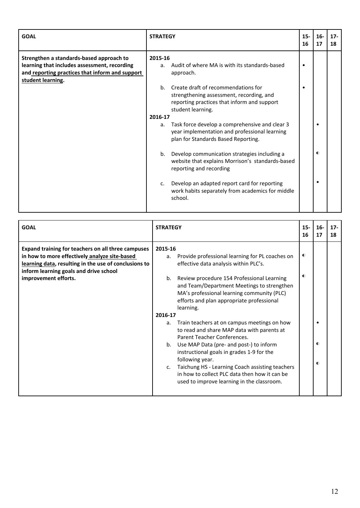| <b>GOAL</b>                                                                                                                                                      | <b>STRATEGY</b>                                                                                                                                                                                                     | $15-$<br>16 | $16-$<br>17 | $17 -$<br>18 |
|------------------------------------------------------------------------------------------------------------------------------------------------------------------|---------------------------------------------------------------------------------------------------------------------------------------------------------------------------------------------------------------------|-------------|-------------|--------------|
| Strengthen a standards-based approach to<br>learning that includes assessment, recording<br>and reporting practices that inform and support<br>student learning. | 2015-16<br>Audit of where MA is with its standards-based<br>a.<br>approach.<br>Create draft of recommendations for<br>b.<br>strengthening assessment, recording, and<br>reporting practices that inform and support | $\bullet$   |             |              |
|                                                                                                                                                                  | student learning.<br>2016-17<br>Task force develop a comprehensive and clear 3<br>a.<br>year implementation and professional learning<br>plan for Standards Based Reporting.                                        |             |             |              |
|                                                                                                                                                                  | Develop communication strategies including a<br>b.<br>website that explains Morrison's standards-based<br>reporting and recording                                                                                   |             | $\bullet$   |              |
|                                                                                                                                                                  | Develop an adapted report card for reporting<br>c.<br>work habits separately from academics for middle<br>school.                                                                                                   |             |             |              |

| <b>GOAL</b>                                                                                                                                                                                                                    | <b>STRATEGY</b>                                                                                                                                                                                                                                                                                                                                                                                                                     | $15 -$<br>16           | $16-$<br>17            | $17 -$<br>18 |
|--------------------------------------------------------------------------------------------------------------------------------------------------------------------------------------------------------------------------------|-------------------------------------------------------------------------------------------------------------------------------------------------------------------------------------------------------------------------------------------------------------------------------------------------------------------------------------------------------------------------------------------------------------------------------------|------------------------|------------------------|--------------|
| Expand training for teachers on all three campuses<br>in how to more effectively analyze site-based<br>learning data, resulting in the use of conclusions to<br>inform learning goals and drive school<br>improvement efforts. | 2015-16<br>Provide professional learning for PL coaches on<br>a.<br>effective data analysis within PLC's.<br>Review procedure 154 Professional Learning<br>$b_{1}$<br>and Team/Department Meetings to strengthen<br>MA's professional learning community (PLC)<br>efforts and plan appropriate professional<br>learning.                                                                                                            | $\bullet$<br>$\bullet$ |                        |              |
|                                                                                                                                                                                                                                | 2016-17<br>Train teachers at on campus meetings on how<br>a.<br>to read and share MAP data with parents at<br>Parent Teacher Conferences.<br>Use MAP Data (pre- and post-) to inform<br>$b_{1}$<br>instructional goals in grades 1-9 for the<br>following year.<br>Taichung HS - Learning Coach assisting teachers<br>C <sub>1</sub><br>in how to collect PLC data then how it can be<br>used to improve learning in the classroom. |                        | $\bullet$<br>$\bullet$ |              |